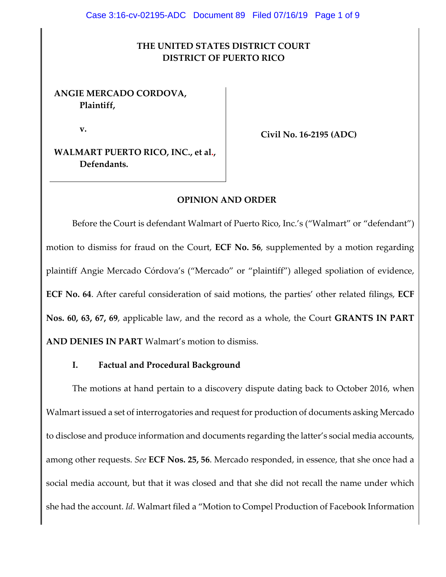### **THE UNITED STATES DISTRICT COURT DISTRICT OF PUERTO RICO**

#### **ANGIE MERCADO CORDOVA, Plaintiff,**

**v.**

**Civil No. 16-2195 (ADC)**

**WALMART PUERTO RICO, INC., et al., Defendants.**

#### **OPINION AND ORDER**

Before the Court is defendant Walmart of Puerto Rico, Inc.'s ("Walmart" or "defendant") motion to dismiss for fraud on the Court, **ECF No. 56**, supplemented by a motion regarding plaintiff Angie Mercado Córdova's ("Mercado" or "plaintiff") alleged spoliation of evidence, **ECF No. 64**. After careful consideration of said motions, the parties' other related filings, **ECF Nos. 60, 63, 67, 69**, applicable law, and the record as a whole, the Court **GRANTS IN PART AND DENIES IN PART** Walmart's motion to dismiss.

#### **I. Factual and Procedural Background**

The motions at hand pertain to a discovery dispute dating back to October 2016, when Walmart issued a set of interrogatories and request for production of documents asking Mercado to disclose and produce information and documents regarding the latter's social media accounts, among other requests. *See* **ECF Nos. 25, 56**. Mercado responded, in essence, that she once had a social media account, but that it was closed and that she did not recall the name under which she had the account. *Id*. Walmart filed a "Motion to Compel Production of Facebook Information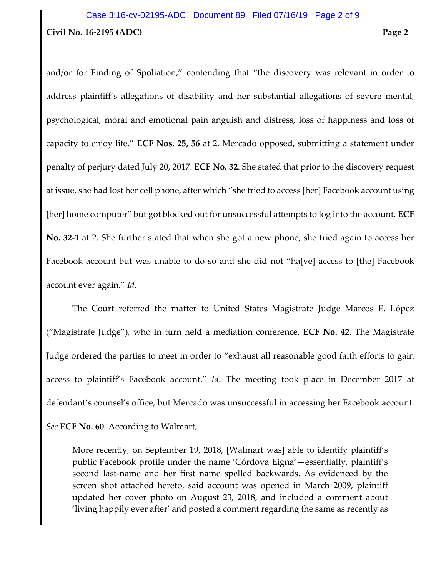# **Civil No. 16-2195 (ADC) Page 2** Case 3:16-cv-02195-ADC Document 89 Filed 07/16/19 Page 2 of 9

and/or for Finding of Spoliation," contending that "the discovery was relevant in order to address plaintiff's allegations of disability and her substantial allegations of severe mental, psychological, moral and emotional pain anguish and distress, loss of happiness and loss of capacity to enjoy life." **ECF Nos. 25, 56** at 2. Mercado opposed, submitting a statement under penalty of perjury dated July 20, 2017. **ECF No. 32**. She stated that prior to the discovery request at issue, she had lost her cell phone, after which "she tried to access [her] Facebook account using [her] home computer" but got blocked out for unsuccessful attempts to log into the account. **ECF No. 32-1** at 2. She further stated that when she got a new phone, she tried again to access her Facebook account but was unable to do so and she did not "ha[ve] access to [the] Facebook account ever again." *Id*.

The Court referred the matter to United States Magistrate Judge Marcos E. López ("Magistrate Judge"), who in turn held a mediation conference. **ECF No. 42**. The Magistrate Judge ordered the parties to meet in order to "exhaust all reasonable good faith efforts to gain access to plaintiff's Facebook account." *Id*. The meeting took place in December 2017 at defendant's counsel's office, but Mercado was unsuccessful in accessing her Facebook account. *See* **ECF No. 60**. According to Walmart,

More recently, on September 19, 2018, [Walmart was] able to identify plaintiff's public Facebook profile under the name 'Córdova Eigna'—essentially, plaintiff's second last-name and her first name spelled backwards. As evidenced by the screen shot attached hereto, said account was opened in March 2009, plaintiff updated her cover photo on August 23, 2018, and included a comment about 'living happily ever after' and posted a comment regarding the same as recently as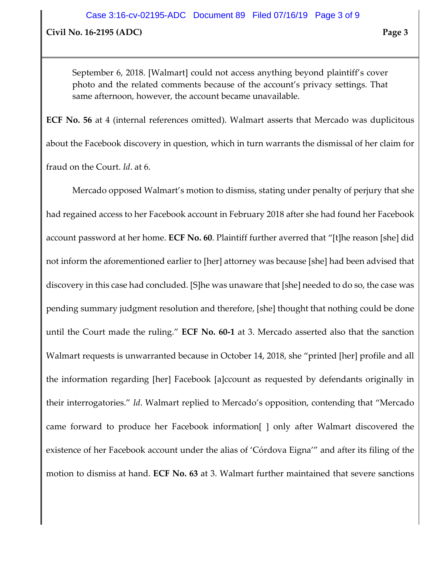**Civil No. 16-2195 (ADC) Page 3**

September 6, 2018. [Walmart] could not access anything beyond plaintiff's cover photo and the related comments because of the account's privacy settings. That same afternoon, however, the account became unavailable.

**ECF No. 56** at 4 (internal references omitted). Walmart asserts that Mercado was duplicitous about the Facebook discovery in question, which in turn warrants the dismissal of her claim for fraud on the Court. *Id*. at 6.

Mercado opposed Walmart's motion to dismiss, stating under penalty of perjury that she had regained access to her Facebook account in February 2018 after she had found her Facebook account password at her home. **ECF No. 60**. Plaintiff further averred that "[t]he reason [she] did not inform the aforementioned earlier to [her] attorney was because [she] had been advised that discovery in this case had concluded. [S]he was unaware that [she] needed to do so, the case was pending summary judgment resolution and therefore, [she] thought that nothing could be done until the Court made the ruling." **ECF No. 60-1** at 3. Mercado asserted also that the sanction Walmart requests is unwarranted because in October 14, 2018, she "printed [her] profile and all the information regarding [her] Facebook [a]ccount as requested by defendants originally in their interrogatories." *Id*. Walmart replied to Mercado's opposition, contending that "Mercado came forward to produce her Facebook information[ ] only after Walmart discovered the existence of her Facebook account under the alias of 'Córdova Eigna'" and after its filing of the motion to dismiss at hand. **ECF No. 63** at 3. Walmart further maintained that severe sanctions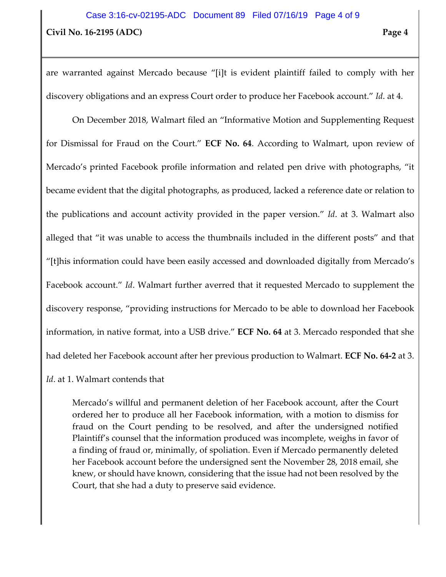are warranted against Mercado because "[i]t is evident plaintiff failed to comply with her discovery obligations and an express Court order to produce her Facebook account." *Id*. at 4.

On December 2018, Walmart filed an "Informative Motion and Supplementing Request for Dismissal for Fraud on the Court." **ECF No. 64**. According to Walmart, upon review of Mercado's printed Facebook profile information and related pen drive with photographs, "it became evident that the digital photographs, as produced, lacked a reference date or relation to the publications and account activity provided in the paper version." *Id*. at 3. Walmart also alleged that "it was unable to access the thumbnails included in the different posts" and that "[t]his information could have been easily accessed and downloaded digitally from Mercado's Facebook account." *Id*. Walmart further averred that it requested Mercado to supplement the discovery response, "providing instructions for Mercado to be able to download her Facebook information, in native format, into a USB drive." **ECF No. 64** at 3. Mercado responded that she had deleted her Facebook account after her previous production to Walmart. **ECF No. 64-2** at 3.

#### *Id*. at 1. Walmart contends that

Mercado's willful and permanent deletion of her Facebook account, after the Court ordered her to produce all her Facebook information, with a motion to dismiss for fraud on the Court pending to be resolved, and after the undersigned notified Plaintiff's counsel that the information produced was incomplete, weighs in favor of a finding of fraud or, minimally, of spoliation. Even if Mercado permanently deleted her Facebook account before the undersigned sent the November 28, 2018 email, she knew, or should have known, considering that the issue had not been resolved by the Court, that she had a duty to preserve said evidence.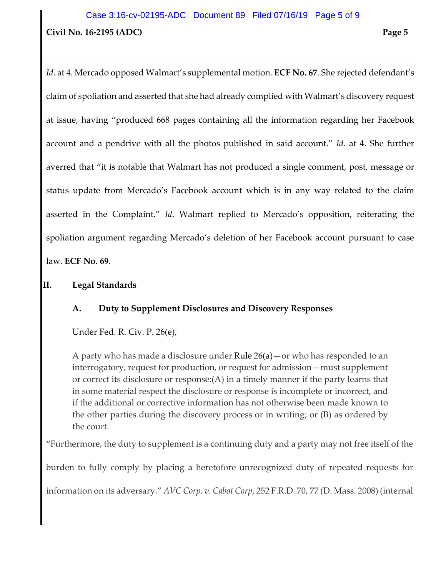# **Civil No. 16-2195 (ADC) Page 5** Case 3:16-cv-02195-ADC Document 89 Filed 07/16/19 Page 5 of 9

*Id*. at 4. Mercado opposed Walmart's supplemental motion. **ECF No. 67**. She rejected defendant's claim of spoliation and asserted that she had already complied with Walmart's discovery request at issue, having "produced 668 pages containing all the information regarding her Facebook account and a pendrive with all the photos published in said account." *Id*. at 4. She further averred that "it is notable that Walmart has not produced a single comment, post, message or status update from Mercado's Facebook account which is in any way related to the claim asserted in the Complaint." *Id*. Walmart replied to Mercado's opposition, reiterating the spoliation argument regarding Mercado's deletion of her Facebook account pursuant to case law. **ECF No. 69**.

### **II. Legal Standards**

## **A. Duty to Supplement Disclosures and Discovery Responses**

Under Fed. R. Civ. P. 26(e),

A party who has made a disclosure under [Rule 26\(a\)—](https://www.law.cornell.edu/rules/frcp/rule_26#rule_26_a)or who has responded to an interrogatory, request for production, or request for admission—must supplement or correct its disclosure or response:(A) in a timely manner if the party learns that in some material respect the disclosure or response is incomplete or incorrect, and if the additional or corrective information has not otherwise been made known to the other parties during the discovery process or in writing; or (B) as ordered by the court.

"Furthermore, the duty to supplement is a continuing duty and a party may not free itself of the

burden to fully comply by placing a heretofore unrecognized duty of repeated requests for

information on its adversary." *AVC Corp. v. Cabot Corp*, 252 F.R.D. 70, 77 (D. Mass. 2008) (internal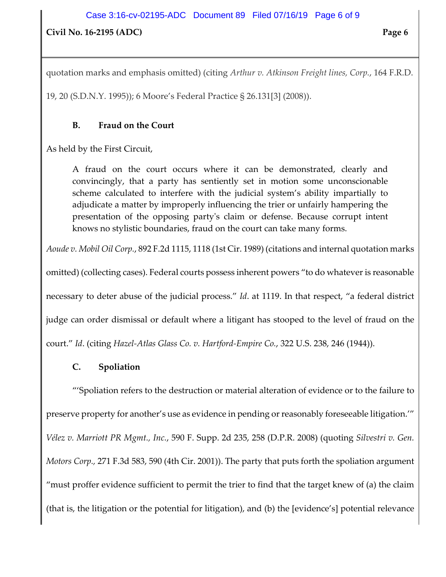## **Civil No. 16-2195 (ADC) Page 6**

quotation marks and emphasis omitted) (citing *Arthur v. Atkinson Freight lines, Corp.*, 164 F.R.D.

19, 20 (S.D.N.Y. 1995)); 6 Moore's Federal Practice § 26.131[3] (2008)).

### **B. Fraud on the Court**

As held by the First Circuit,

A fraud on the court occurs where it can be demonstrated, clearly and convincingly, that a party has sentiently set in motion some unconscionable scheme calculated to interfere with the judicial system's ability impartially to adjudicate a matter by improperly influencing the trier or unfairly hampering the presentation of the opposing party's claim or defense. Because corrupt intent knows no stylistic boundaries, fraud on the court can take many forms.

*Aoude v. Mobil Oil Corp.*, 892 F.2d 1115, 1118 (1st Cir. 1989) (citations and internal quotation marks

omitted) (collecting cases). Federal courts possess inherent powers "to do whatever is reasonable necessary to deter abuse of the judicial process." *Id*. at 1119. In that respect, "a federal district judge can order dismissal or default where a litigant has stooped to the level of fraud on the court." *Id*. (citing *Hazel-Atlas Glass Co. v. Hartford-Empire Co.*, 322 U.S. 238, 246 (1944)).

## **C. Spoliation**

"'Spoliation refers to the destruction or material alteration of evidence or to the failure to preserve property for another's use as evidence in pending or reasonably foreseeable litigation.'" *Vélez v. Marriott PR Mgmt., Inc.*, 590 F. Supp. 2d 235, 258 (D.P.R. 2008) (quoting *Silvestri v. Gen. Motors Corp.,* 271 F.3d 583, 590 (4th Cir. 2001)). The party that puts forth the spoliation argument "must proffer evidence sufficient to permit the trier to find that the target knew of (a) the claim (that is, the litigation or the potential for litigation), and (b) the [evidence's] potential relevance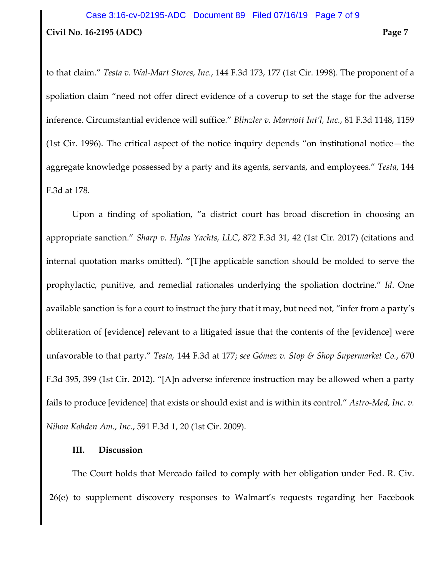# **Civil No. 16-2195 (ADC) Page 7** Case 3:16-cv-02195-ADC Document 89 Filed 07/16/19 Page 7 of 9

to that claim." *Testa v. Wal-Mart Stores, Inc.*, 144 F.3d 173, 177 (1st Cir. 1998). The proponent of a spoliation claim "need not offer direct evidence of a coverup to set the stage for the adverse inference. Circumstantial evidence will suffice." *Blinzler v. Marriott Int'l, Inc.*, 81 F.3d 1148, 1159 (1st Cir. 1996). The critical aspect of the notice inquiry depends "on institutional notice—the aggregate knowledge possessed by a party and its agents, servants, and employees." *Testa*, 144 F.3d at 178.

Upon a finding of spoliation, "a district court has broad discretion in choosing an appropriate sanction." *Sharp v. Hylas Yachts, LLC*, 872 F.3d 31, 42 (1st Cir. 2017) (citations and internal quotation marks omitted). "[T]he applicable sanction should be molded to serve the prophylactic, punitive, and remedial rationales underlying the spoliation doctrine." *Id*. One available sanction is for a court to instruct the jury that it may, but need not, "infer from a party's obliteration of [evidence] relevant to a litigated issue that the contents of the [evidence] were unfavorable to that party." *Testa,* 144 F.3d at 177; *see Gómez v. Stop & Shop Supermarket Co.*, 670 F.3d 395, 399 (1st Cir. 2012). "[A]n adverse inference instruction may be allowed when a party fails to produce [evidence] that exists or should exist and is within its control." *Astro-Med, Inc. v. Nihon Kohden Am., Inc.*, 591 F.3d 1, 20 (1st Cir. 2009).

#### **III. Discussion**

The Court holds that Mercado failed to comply with her obligation under Fed. R. Civ. 26(e) to supplement discovery responses to Walmart's requests regarding her Facebook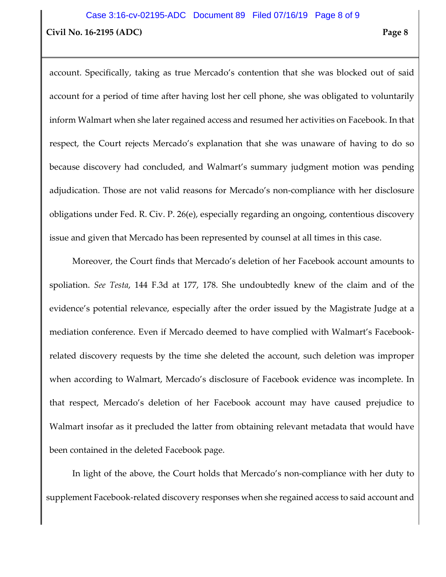# **Civil No. 16-2195 (ADC) Page 8** Case 3:16-cv-02195-ADC Document 89 Filed 07/16/19 Page 8 of 9

account. Specifically, taking as true Mercado's contention that she was blocked out of said account for a period of time after having lost her cell phone, she was obligated to voluntarily inform Walmart when she later regained access and resumed her activities on Facebook. In that respect, the Court rejects Mercado's explanation that she was unaware of having to do so because discovery had concluded, and Walmart's summary judgment motion was pending adjudication. Those are not valid reasons for Mercado's non-compliance with her disclosure obligations under Fed. R. Civ. P. 26(e), especially regarding an ongoing, contentious discovery issue and given that Mercado has been represented by counsel at all times in this case.

Moreover, the Court finds that Mercado's deletion of her Facebook account amounts to spoliation. *See Testa*, 144 F.3d at 177, 178. She undoubtedly knew of the claim and of the evidence's potential relevance, especially after the order issued by the Magistrate Judge at a mediation conference. Even if Mercado deemed to have complied with Walmart's Facebookrelated discovery requests by the time she deleted the account, such deletion was improper when according to Walmart, Mercado's disclosure of Facebook evidence was incomplete. In that respect, Mercado's deletion of her Facebook account may have caused prejudice to Walmart insofar as it precluded the latter from obtaining relevant metadata that would have been contained in the deleted Facebook page.

In light of the above, the Court holds that Mercado's non-compliance with her duty to supplement Facebook-related discovery responses when she regained access to said account and